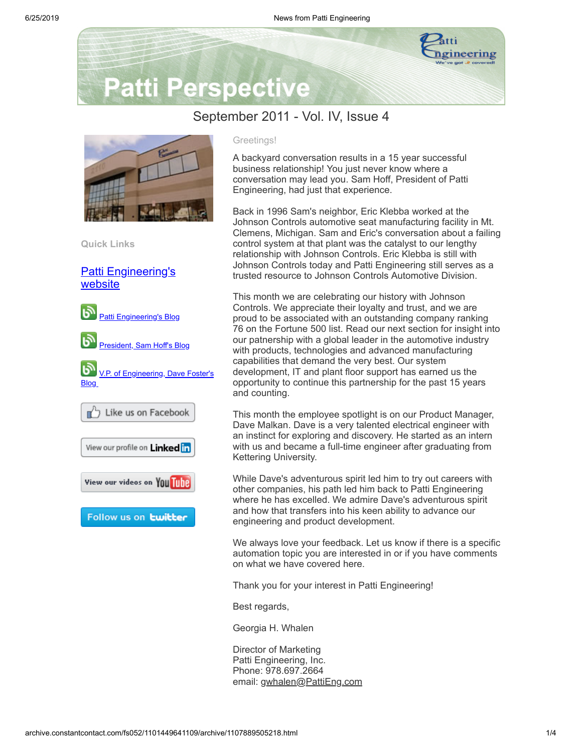

## **Patti Perspective**

## September 2011 - Vol. IV, Issue 4



**Quick Links**

## [Patti Engineering's](http://www.pattieng.com/) website



## Greetings!

A backyard conversation results in a 15 year successful business relationship! You just never know where a conversation may lead you. Sam Hoff, President of Patti Engineering, had just that experience.

Back in 1996 Sam's neighbor, Eric Klebba worked at the Johnson Controls automotive seat manufacturing facility in Mt. Clemens, Michigan. Sam and Eric's conversation about a failing control system at that plant was the catalyst to our lengthy relationship with Johnson Controls. Eric Klebba is still with Johnson Controls today and Patti Engineering still serves as a trusted resource to Johnson Controls Automotive Division.

This month we are celebrating our history with Johnson Controls. We appreciate their loyalty and trust, and we are proud to be associated with an outstanding company ranking 76 on the Fortune 500 list. Read our next section for insight into our patnership with a global leader in the automotive industry with products, technologies and advanced manufacturing capabilities that demand the very best. Our system development, IT and plant floor support has earned us the opportunity to continue this partnership for the past 15 years and counting.

This month the employee spotlight is on our Product Manager, Dave Malkan. Dave is a very talented electrical engineer with an instinct for exploring and discovery. He started as an intern with us and became a full-time engineer after graduating from Kettering University.

While Dave's adventurous spirit led him to try out careers with other companies, his path led him back to Patti Engineering where he has excelled. We admire Dave's adventurous spirit and how that transfers into his keen ability to advance our engineering and product development.

We always love your feedback. Let us know if there is a specific automation topic you are interested in or if you have comments on what we have covered here.

Thank you for your interest in Patti Engineering!

Best regards,

Georgia H. Whalen

Director of Marketing Patti Engineering, Inc. Phone: 978.697.2664 email: [gwhalen@PattiEng.com](mailto:gwhalen@PattiEng.com)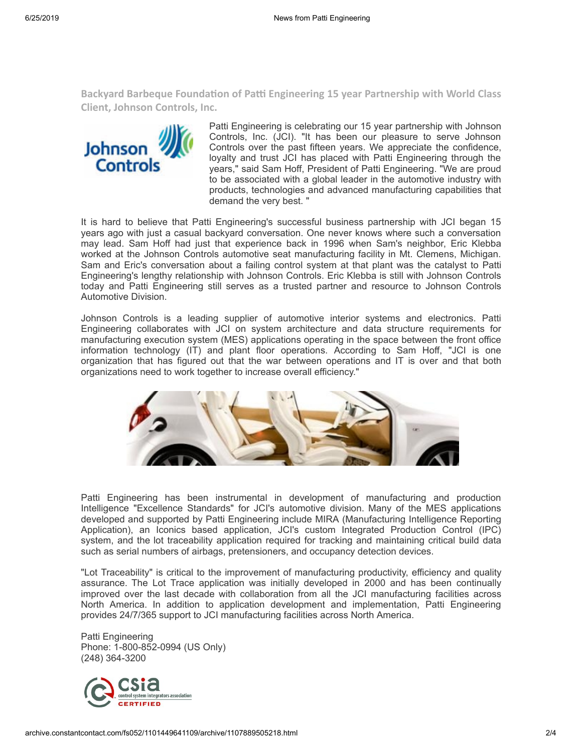**Backyard Barbeque Foundation of Patti Engineering 15 year Partnership with World Class Client, Johnson Controls, Inc.**



Patti Engineering is celebrating our 15 year partnership with Johnson Controls, Inc. (JCI). "It has been our pleasure to serve Johnson Controls over the past fifteen years. We appreciate the confidence, loyalty and trust JCI has placed with Patti Engineering through the years," said Sam Hoff, President of Patti Engineering. "We are proud to be associated with a global leader in the automotive industry with products, technologies and advanced manufacturing capabilities that demand the very best. "

It is hard to believe that Patti Engineering's successful business partnership with JCI began 15 years ago with just a casual backyard conversation. One never knows where such a conversation may lead. Sam Hoff had just that experience back in 1996 when Sam's neighbor, Eric Klebba worked at the Johnson Controls automotive seat manufacturing facility in Mt. Clemens, Michigan. Sam and Eric's conversation about a failing control system at that plant was the catalyst to Patti Engineering's lengthy relationship with Johnson Controls. Eric Klebba is still with Johnson Controls today and Patti Engineering still serves as a trusted partner and resource to Johnson Controls Automotive Division.

Johnson Controls is a leading supplier of automotive interior systems and electronics. Patti Engineering collaborates with JCI on system architecture and data structure requirements for manufacturing execution system (MES) applications operating in the space between the front office information technology (IT) and plant floor operations. According to Sam Hoff, "JCI is one organization that has figured out that the war between operations and IT is over and that both organizations need to work together to increase overall efficiency."



Patti Engineering has been instrumental in development of manufacturing and production Intelligence "Excellence Standards" for JCI's automotive division. Many of the MES applications developed and supported by Patti Engineering include MIRA (Manufacturing Intelligence Reporting Application), an Iconics based application, JCI's custom Integrated Production Control (IPC) system, and the lot traceability application required for tracking and maintaining critical build data such as serial numbers of airbags, pretensioners, and occupancy detection devices.

"Lot Traceability" is critical to the improvement of manufacturing productivity, efficiency and quality assurance. The Lot Trace application was initially developed in 2000 and has been continually improved over the last decade with collaboration from all the JCI manufacturing facilities across North America. In addition to application development and implementation, Patti Engineering provides 24/7/365 support to JCI manufacturing facilities across North America.

Patti Engineering Phone: 1-800-852-0994 (US Only) (248) 364-3200

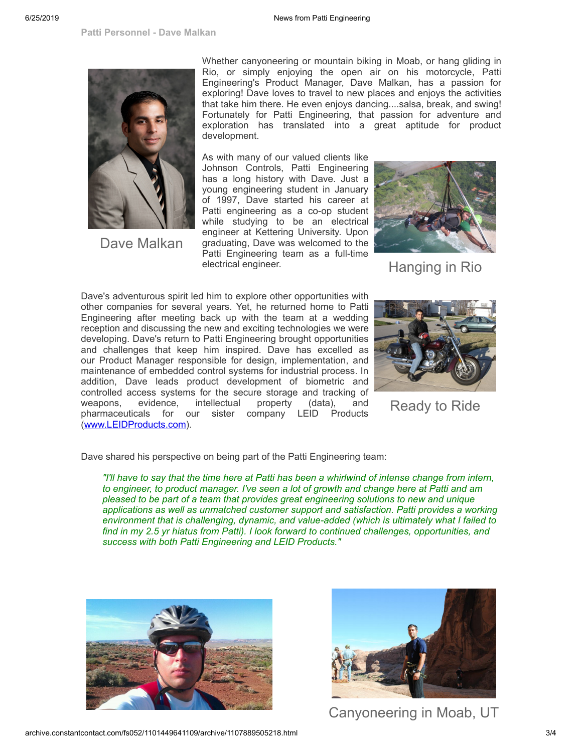

Dave Malkan

Whether canyoneering or mountain biking in Moab, or hang gliding in Rio, or simply enjoying the open air on his motorcycle, Patti Engineering's Product Manager, Dave Malkan, has a passion for exploring! Dave loves to travel to new places and enjoys the activities that take him there. He even enjoys dancing....salsa, break, and swing! Fortunately for Patti Engineering, that passion for adventure and exploration has translated into a great aptitude for product development.

As with many of our valued clients like Johnson Controls, Patti Engineering has a long history with Dave. Just a young engineering student in January of 1997, Dave started his career at Patti engineering as a co-op student while studying to be an electrical engineer at Kettering University. Upon graduating, Dave was welcomed to the Patti Engineering team as a full-time electrical engineer.



Hanging in Rio

Dave's adventurous spirit led him to explore other opportunities with other companies for several years. Yet, he returned home to Patti Engineering after meeting back up with the team at a wedding reception and discussing the new and exciting technologies we were developing. Dave's return to Patti Engineering brought opportunities and challenges that keep him inspired. Dave has excelled as our Product Manager responsible for design, implementation, and maintenance of embedded control systems for industrial process. In addition, Dave leads product development of biometric and controlled access systems for the secure storage and tracking of weapons, evidence, intellectual property (data), and pharmaceuticals for our sister company LEID Products [\(www.LEIDProducts.com](http://www.leidproducts.com/)).



Ready to Ride

Dave shared his perspective on being part of the Patti Engineering team:

"I'll have to say that the time here at Patti has been a whirlwind of intense change from intern, *to engineer, to product manager. I've seen a lot of growth and change here at Patti and am pleased to be part of a team that provides great engineering solutions to new and unique applications as well as unmatched customer support and satisfaction. Patti provides a working environment that is challenging, dynamic, and value-added (which is ultimately what I failed to find in my 2.5 yr hiatus from Patti). I look forward to continued challenges, opportunities, and success with both Patti Engineering and LEID Products."*





Canyoneering in Moab, UT

archive.constantcontact.com/fs052/1101449641109/archive/1107889505218.html 3/4